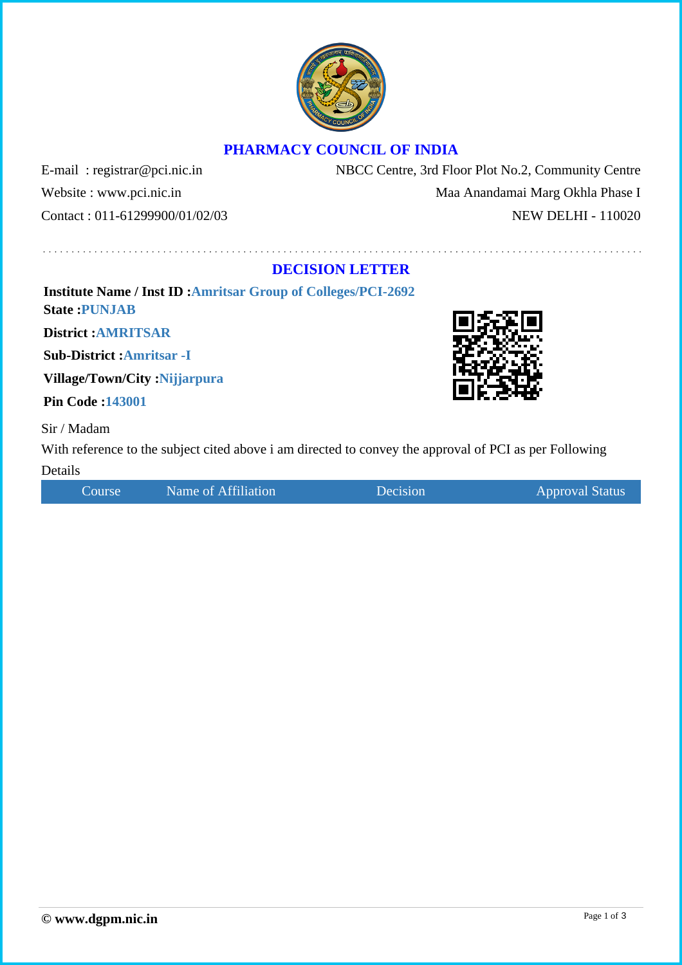## **PHARMACY COUNCIL OF INDIA**

E-mail : registrar@pci.nic.in NBCC Centre, 3rd Floor Plot No.2, Community Centre Website : www.pci.nic.in Maa Anandamai Marg Okhla Phase I Contact : 011-61299900/01/02/03 NEW DELHI - 110020

## **DECISION LETTER**

**Institute Name / Inst ID :Amritsar Group of Colleges/PCI-2692 State :PUNJAB**

**District :AMRITSAR**

**Sub-District :Amritsar -I**

**Village/Town/City :Nijjarpura**

**Pin Code :143001**

Sir / Madam

With reference to the subject cited above i am directed to convey the approval of PCI as per Following Details

Course Name of Affiliation Decision Decision Approval Status

Page 1 of 3



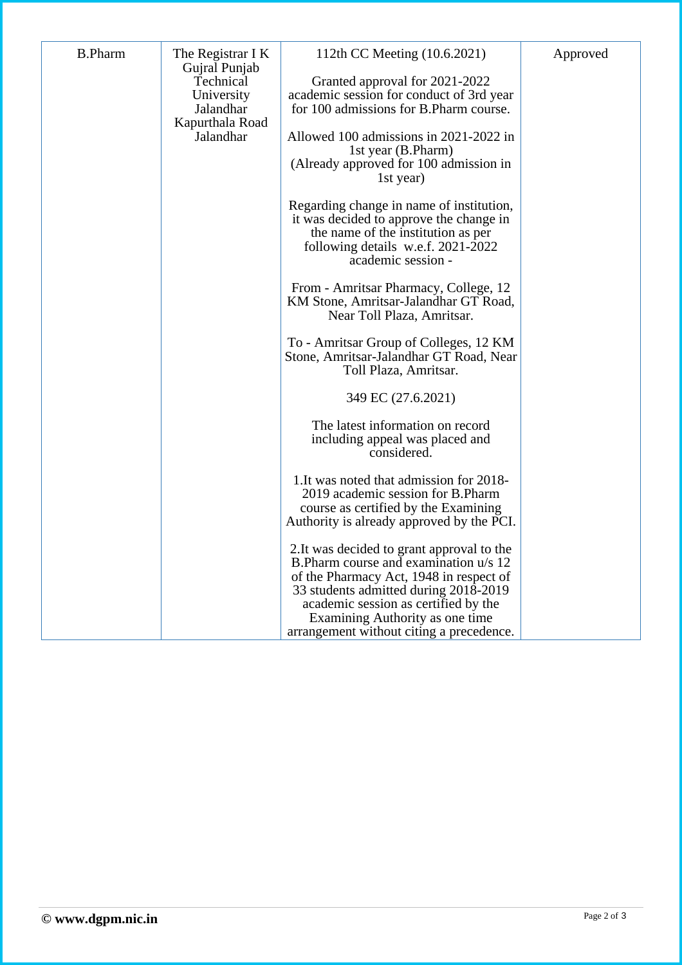| <b>B.Pharm</b> | The Registrar I K<br>Gujral Punjab<br>Technical<br>University<br>Jalandhar<br>Kapurthala Road<br>Jalandhar | 112th CC Meeting (10.6.2021)                                                                                                                                                                                                                        | Approved |
|----------------|------------------------------------------------------------------------------------------------------------|-----------------------------------------------------------------------------------------------------------------------------------------------------------------------------------------------------------------------------------------------------|----------|
|                |                                                                                                            | Granted approval for 2021-2022<br>academic session for conduct of 3rd year<br>for 100 admissions for B.Pharm course.                                                                                                                                |          |
|                |                                                                                                            | Allowed 100 admissions in 2021-2022 in<br>1st year (B.Pharm)<br>(Already approved for 100 admission in<br>1st year)                                                                                                                                 |          |
|                |                                                                                                            | Regarding change in name of institution,<br>it was decided to approve the change in<br>the name of the institution as per<br>following details w.e.f. 2021-2022<br>academic session -                                                               |          |
|                |                                                                                                            | From - Amritsar Pharmacy, College, 12<br>KM Stone, Amritsar-Jalandhar GT Road,<br>Near Toll Plaza, Amritsar.                                                                                                                                        |          |
|                |                                                                                                            | To - Amritsar Group of Colleges, 12 KM<br>Stone, Amritsar-Jalandhar GT Road, Near<br>Toll Plaza, Amritsar.                                                                                                                                          |          |
|                |                                                                                                            | 349 EC (27.6.2021)                                                                                                                                                                                                                                  |          |
|                |                                                                                                            | The latest information on record<br>including appeal was placed and<br>considered.                                                                                                                                                                  |          |
|                |                                                                                                            | 1. It was noted that admission for 2018-<br>2019 academic session for B.Pharm<br>course as certified by the Examining<br>Authority is already approved by the PCI.                                                                                  |          |
|                |                                                                                                            | 2. It was decided to grant approval to the<br>B. Pharm course and examination u/s 12<br>of the Pharmacy Act, 1948 in respect of<br>33 students admitted during 2018-2019<br>academic session as certified by the<br>Examining Authority as one time |          |
|                |                                                                                                            | arrangement without citing a precedence.                                                                                                                                                                                                            |          |